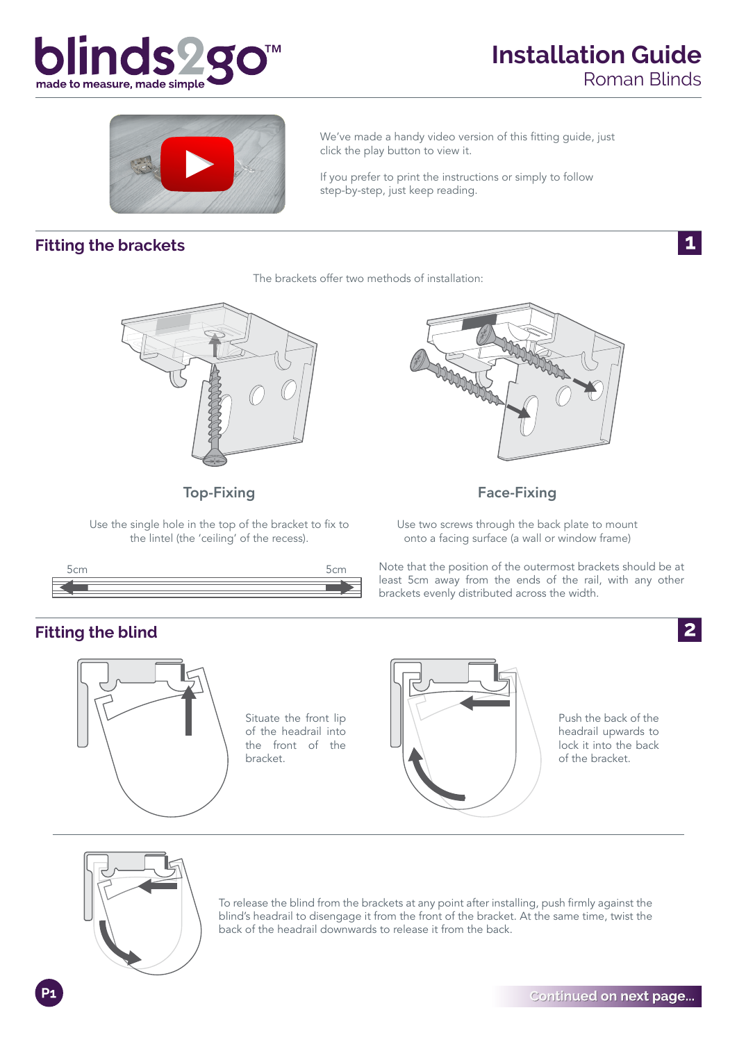

 $\mathbf{1}$ 



We've made a handy video version of this fitting guide, just click the play button to view it.

If you prefer to print the instructions or simply to follow step-by-step, just keep reading.

#### **Fitting the brackets**

The brackets offer two methods of installation:



Top-Fixing

Use the single hole in the top of the bracket to fix to the lintel (the 'ceiling' of the recess).





#### Face-Fixing

Use two screws through the back plate to mount onto a facing surface (a wall or window frame)

Note that the position of the outermost brackets should be at least 5cm away from the ends of the rail, with any other brackets evenly distributed across the width.





To release the blind from the brackets at any point after installing, push firmly against the blind's headrail to disengage it from the front of the bracket. At the same time, twist the back of the headrail downwards to release it from the back.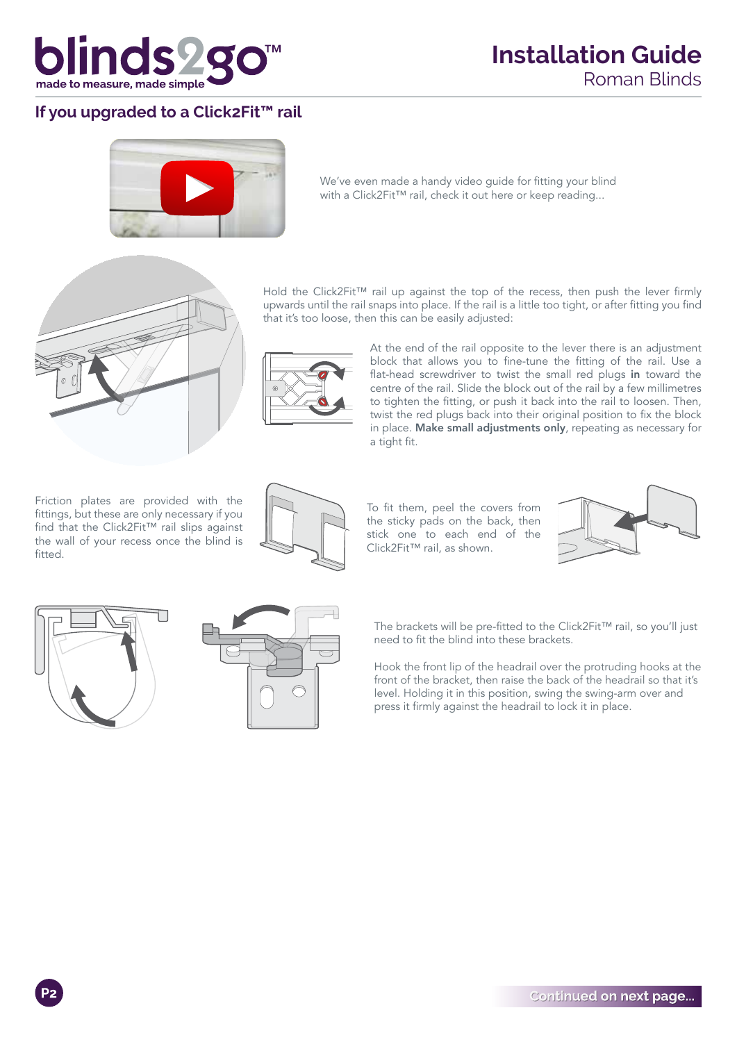

## **Installation Guide** Roman Blinds

### **If you upgraded to a Click2Fit™ rail**



We've even made a handy video guide for fitting your blind with a Click2Fit™ rail, check it out here or keep reading...



Hold the Click2Fit™ rail up against the top of the recess, then push the lever firmly upwards until the rail snaps into place. If the rail is a little too tight, or after fitting you find that it's too loose, then this can be easily adjusted:



At the end of the rail opposite to the lever there is an adjustment block that allows you to fine-tune the fitting of the rail. Use a flat-head screwdriver to twist the small red plugs in toward the centre of the rail. Slide the block out of the rail by a few millimetres to tighten the fitting, or push it back into the rail to loosen. Then, twist the red plugs back into their original position to fix the block in place. Make small adjustments only, repeating as necessary for a tight fit.

Friction plates are provided with the fittings, but these are only necessary if you find that the Click2Fit™ rail slips against the wall of your recess once the blind is fitted.



To fit them, peel the covers from the sticky pads on the back, then stick one to each end of the Click2Fit™ rail, as shown.







The brackets will be pre-fitted to the Click2Fit™ rail, so you'll just need to fit the blind into these brackets.

Hook the front lip of the headrail over the protruding hooks at the front of the bracket, then raise the back of the headrail so that it's level. Holding it in this position, swing the swing-arm over and press it firmly against the headrail to lock it in place.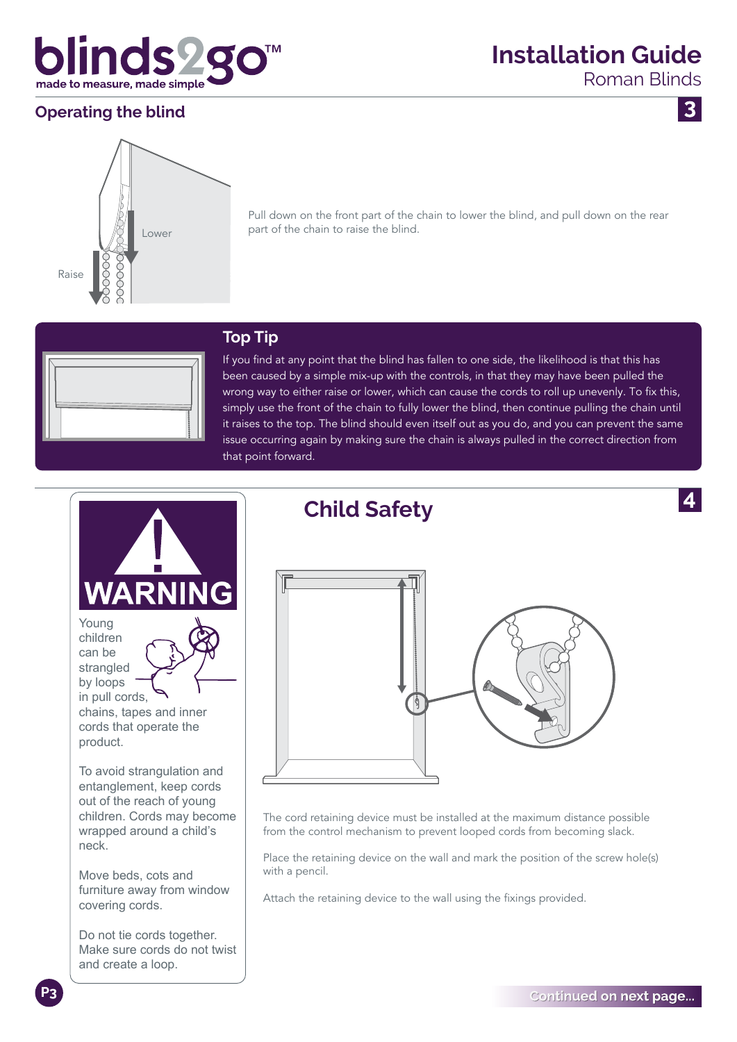

## **Operating the blind**

**Installation Guide**

Roman Blinds

 $\overline{3}$ 



Pull down on the front part of the chain to lower the blind, and pull down on the rear part of the chain to raise the blind.



#### **Top Tip**

If you find at any point that the blind has fallen to one side, the likelihood is that this has been caused by a simple mix-up with the controls, in that they may have been pulled the wrong way to either raise or lower, which can cause the cords to roll up unevenly. To fix this, simply use the front of the chain to fully lower the blind, then continue pulling the chain until it raises to the top. The blind should even itself out as you do, and you can prevent the same issue occurring again by making sure the chain is always pulled in the correct direction from that point forward.